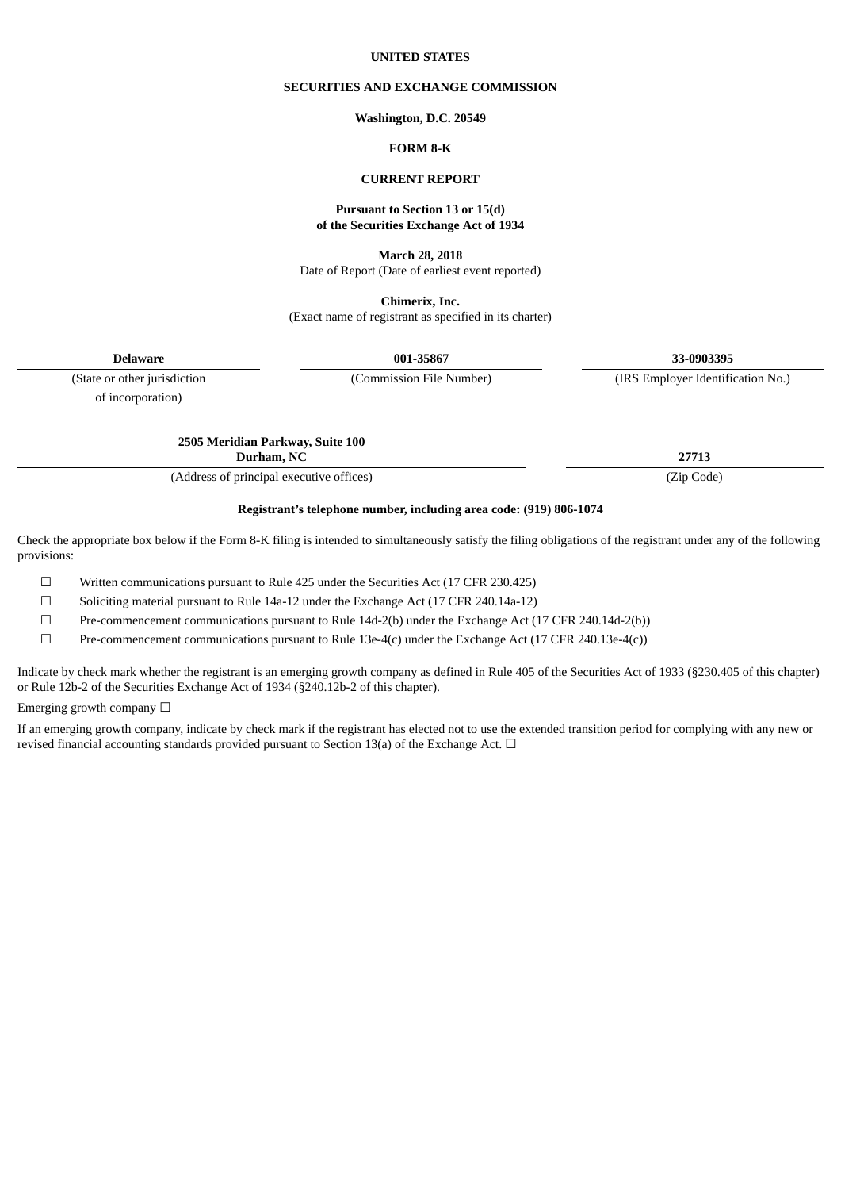#### **UNITED STATES**

### **SECURITIES AND EXCHANGE COMMISSION**

#### **Washington, D.C. 20549**

## **FORM 8-K**

### **CURRENT REPORT**

#### **Pursuant to Section 13 or 15(d) of the Securities Exchange Act of 1934**

**March 28, 2018**

Date of Report (Date of earliest event reported)

**Chimerix, Inc.** (Exact name of registrant as specified in its charter)

**Delaware 001-35867 33-0903395**

of incorporation)

(State or other jurisdiction (Commission File Number) (IRS Employer Identification No.)

**2505 Meridian Parkway, Suite 100 Durham, NC 27713**

(Address of principal executive offices) (Zip Code)

## **Registrant's telephone number, including area code: (919) 806-1074**

Check the appropriate box below if the Form 8-K filing is intended to simultaneously satisfy the filing obligations of the registrant under any of the following provisions:

☐ Written communications pursuant to Rule 425 under the Securities Act (17 CFR 230.425)

☐ Soliciting material pursuant to Rule 14a-12 under the Exchange Act (17 CFR 240.14a-12)

☐ Pre-commencement communications pursuant to Rule 14d-2(b) under the Exchange Act (17 CFR 240.14d-2(b))

 $\Box$  Pre-commencement communications pursuant to Rule 13e-4(c) under the Exchange Act (17 CFR 240.13e-4(c))

Indicate by check mark whether the registrant is an emerging growth company as defined in Rule 405 of the Securities Act of 1933 (§230.405 of this chapter) or Rule 12b-2 of the Securities Exchange Act of 1934 (§240.12b-2 of this chapter).

Emerging growth company  $\Box$ 

If an emerging growth company, indicate by check mark if the registrant has elected not to use the extended transition period for complying with any new or revised financial accounting standards provided pursuant to Section 13(a) of the Exchange Act.  $\Box$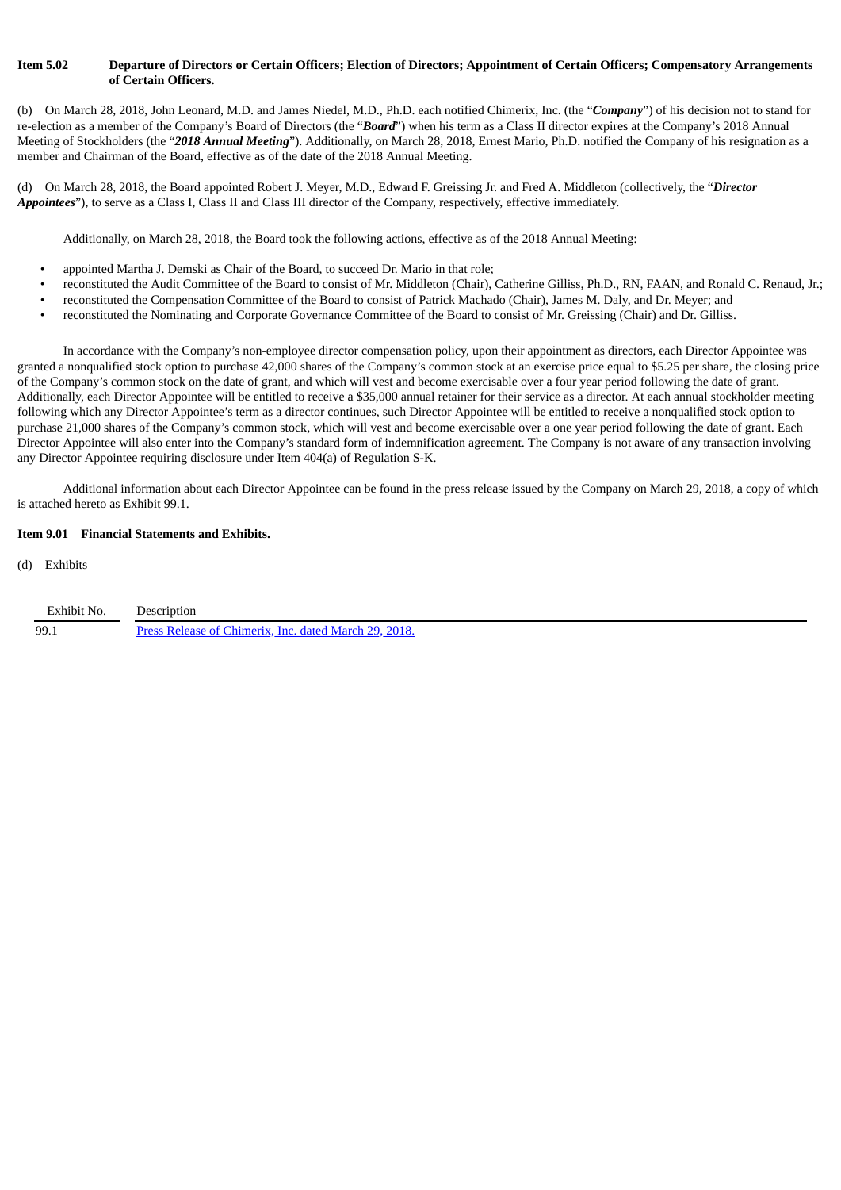### Item 5.02 Departure of Directors or Certain Officers; Election of Directors; Appointment of Certain Officers; Compensatory Arrangements **of Certain Officers.**

(b) On March 28, 2018, John Leonard, M.D. and James Niedel, M.D., Ph.D. each notified Chimerix, Inc. (the "*Company*") of his decision not to stand for re-election as a member of the Company's Board of Directors (the "*Board*") when his term as a Class II director expires at the Company's 2018 Annual Meeting of Stockholders (the "*2018 Annual Meeting*"). Additionally, on March 28, 2018, Ernest Mario, Ph.D. notified the Company of his resignation as a member and Chairman of the Board, effective as of the date of the 2018 Annual Meeting.

(d) On March 28, 2018, the Board appointed Robert J. Meyer, M.D., Edward F. Greissing Jr. and Fred A. Middleton (collectively, the "*Director Appointees*"), to serve as a Class I, Class II and Class III director of the Company, respectively, effective immediately.

Additionally, on March 28, 2018, the Board took the following actions, effective as of the 2018 Annual Meeting:

- appointed Martha J. Demski as Chair of the Board, to succeed Dr. Mario in that role;
- reconstituted the Audit Committee of the Board to consist of Mr. Middleton (Chair), Catherine Gilliss, Ph.D., RN, FAAN, and Ronald C. Renaud, Jr.;
- reconstituted the Compensation Committee of the Board to consist of Patrick Machado (Chair), James M. Daly, and Dr. Meyer; and
- reconstituted the Nominating and Corporate Governance Committee of the Board to consist of Mr. Greissing (Chair) and Dr. Gilliss.

In accordance with the Company's non-employee director compensation policy, upon their appointment as directors, each Director Appointee was granted a nonqualified stock option to purchase 42,000 shares of the Company's common stock at an exercise price equal to \$5.25 per share, the closing price of the Company's common stock on the date of grant, and which will vest and become exercisable over a four year period following the date of grant. Additionally, each Director Appointee will be entitled to receive a \$35,000 annual retainer for their service as a director. At each annual stockholder meeting following which any Director Appointee's term as a director continues, such Director Appointee will be entitled to receive a nonqualified stock option to purchase 21,000 shares of the Company's common stock, which will vest and become exercisable over a one year period following the date of grant. Each Director Appointee will also enter into the Company's standard form of indemnification agreement. The Company is not aware of any transaction involving any Director Appointee requiring disclosure under Item 404(a) of Regulation S-K.

Additional information about each Director Appointee can be found in the press release issued by the Company on March 29, 2018, a copy of which is attached hereto as Exhibit 99.1.

#### **Item 9.01 Financial Statements and Exhibits.**

(d) Exhibits

| Exhibit No. | Description                                           |
|-------------|-------------------------------------------------------|
| 99.1        | Press Release of Chimerix, Inc. dated March 29, 2018. |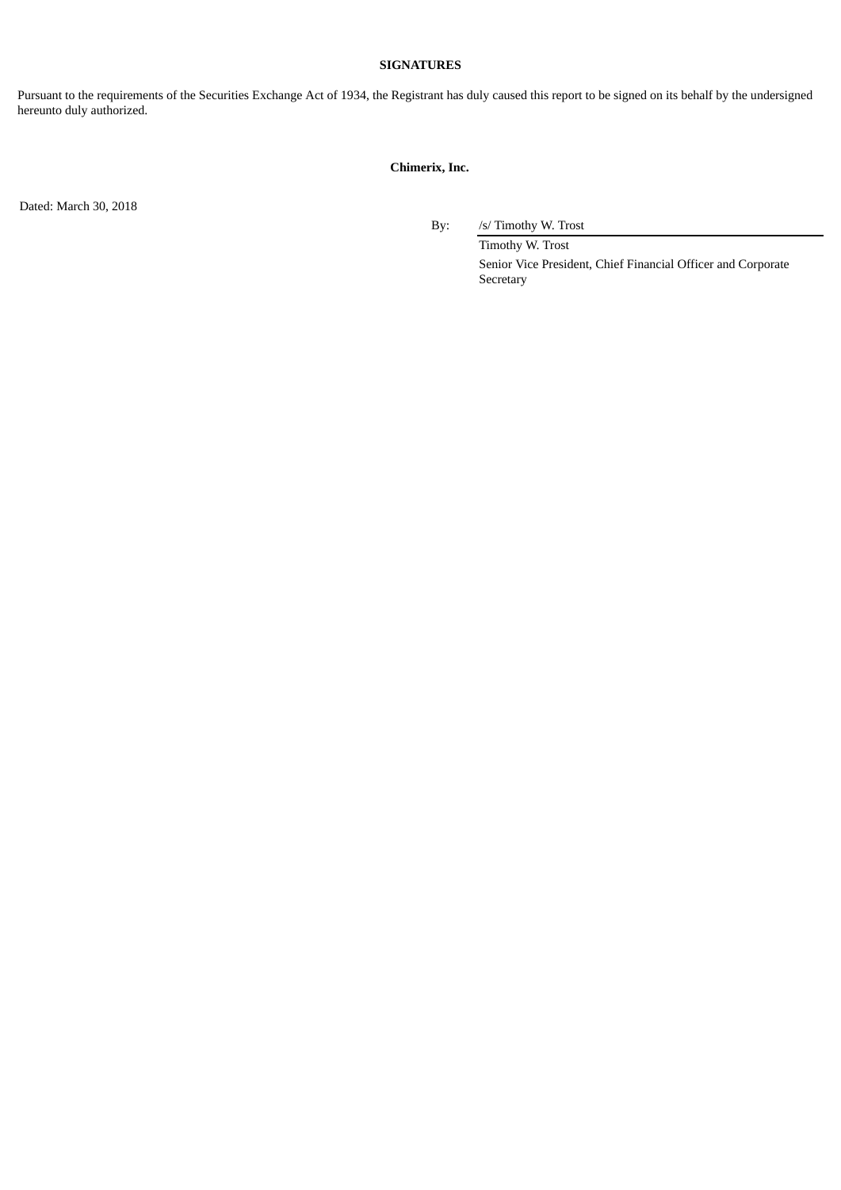## **SIGNATURES**

Pursuant to the requirements of the Securities Exchange Act of 1934, the Registrant has duly caused this report to be signed on its behalf by the undersigned hereunto duly authorized.

# **Chimerix, Inc.**

Dated: March 30, 2018

By: /s/ Timothy W. Trost

Timothy W. Trost Senior Vice President, Chief Financial Officer and Corporate Secretary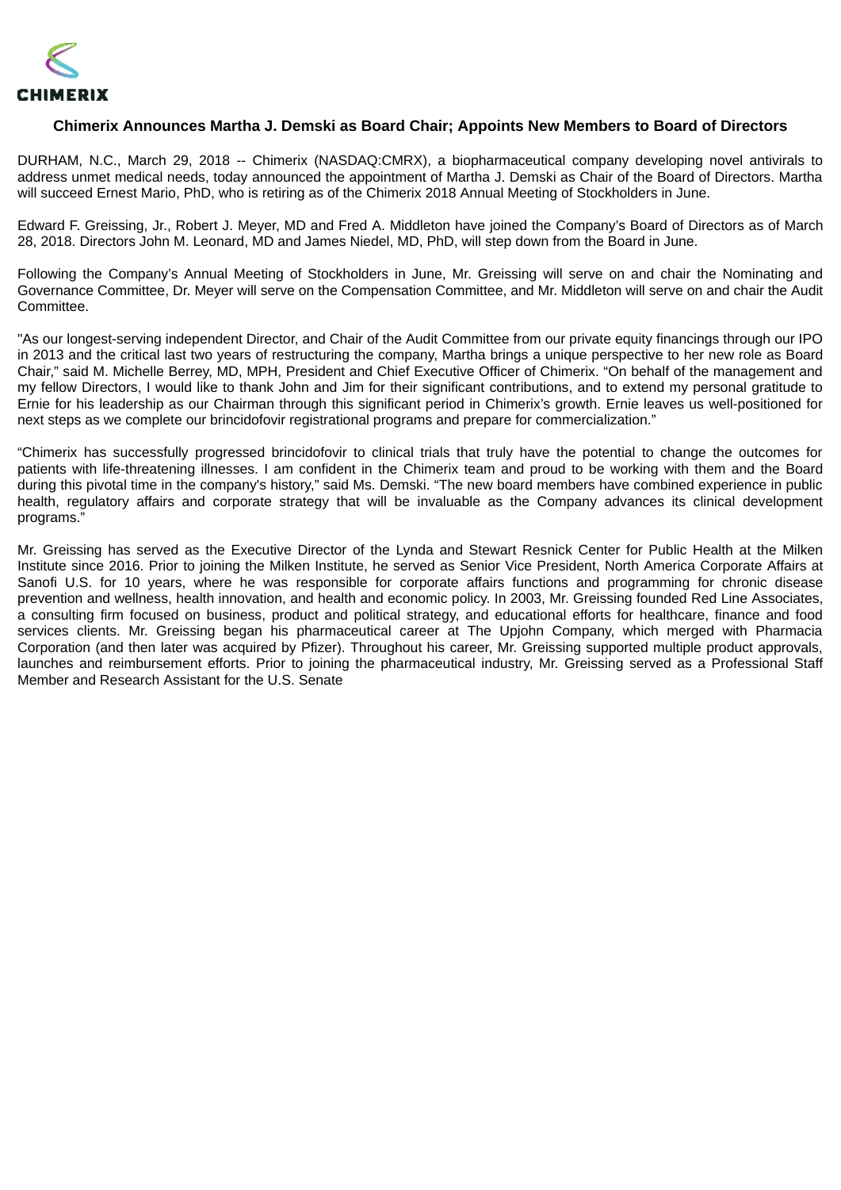<span id="page-3-0"></span>

# **Chimerix Announces Martha J. Demski as Board Chair; Appoints New Members to Board of Directors**

DURHAM, N.C., March 29, 2018 -- Chimerix (NASDAQ:CMRX), a biopharmaceutical company developing novel antivirals to address unmet medical needs, today announced the appointment of Martha J. Demski as Chair of the Board of Directors. Martha will succeed Ernest Mario, PhD, who is retiring as of the Chimerix 2018 Annual Meeting of Stockholders in June.

Edward F. Greissing, Jr., Robert J. Meyer, MD and Fred A. Middleton have joined the Company's Board of Directors as of March 28, 2018. Directors John M. Leonard, MD and James Niedel, MD, PhD, will step down from the Board in June.

Following the Company's Annual Meeting of Stockholders in June, Mr. Greissing will serve on and chair the Nominating and Governance Committee, Dr. Meyer will serve on the Compensation Committee, and Mr. Middleton will serve on and chair the Audit **Committee.** 

"As our longest-serving independent Director, and Chair of the Audit Committee from our private equity financings through our IPO in 2013 and the critical last two years of restructuring the company, Martha brings a unique perspective to her new role as Board Chair," said M. Michelle Berrey, MD, MPH, President and Chief Executive Officer of Chimerix. "On behalf of the management and my fellow Directors, I would like to thank John and Jim for their significant contributions, and to extend my personal gratitude to Ernie for his leadership as our Chairman through this significant period in Chimerix's growth. Ernie leaves us well-positioned for next steps as we complete our brincidofovir registrational programs and prepare for commercialization."

"Chimerix has successfully progressed brincidofovir to clinical trials that truly have the potential to change the outcomes for patients with life-threatening illnesses. I am confident in the Chimerix team and proud to be working with them and the Board during this pivotal time in the company's history," said Ms. Demski. "The new board members have combined experience in public health, regulatory affairs and corporate strategy that will be invaluable as the Company advances its clinical development programs."

Mr. Greissing has served as the Executive Director of the Lynda and Stewart Resnick Center for Public Health at the Milken Institute since 2016. Prior to joining the Milken Institute, he served as Senior Vice President, North America Corporate Affairs at Sanofi U.S. for 10 years, where he was responsible for corporate affairs functions and programming for chronic disease prevention and wellness, health innovation, and health and economic policy. In 2003, Mr. Greissing founded Red Line Associates, a consulting firm focused on business, product and political strategy, and educational efforts for healthcare, finance and food services clients. Mr. Greissing began his pharmaceutical career at The Upjohn Company, which merged with Pharmacia Corporation (and then later was acquired by Pfizer). Throughout his career, Mr. Greissing supported multiple product approvals, launches and reimbursement efforts. Prior to joining the pharmaceutical industry, Mr. Greissing served as a Professional Staff Member and Research Assistant for the U.S. Senate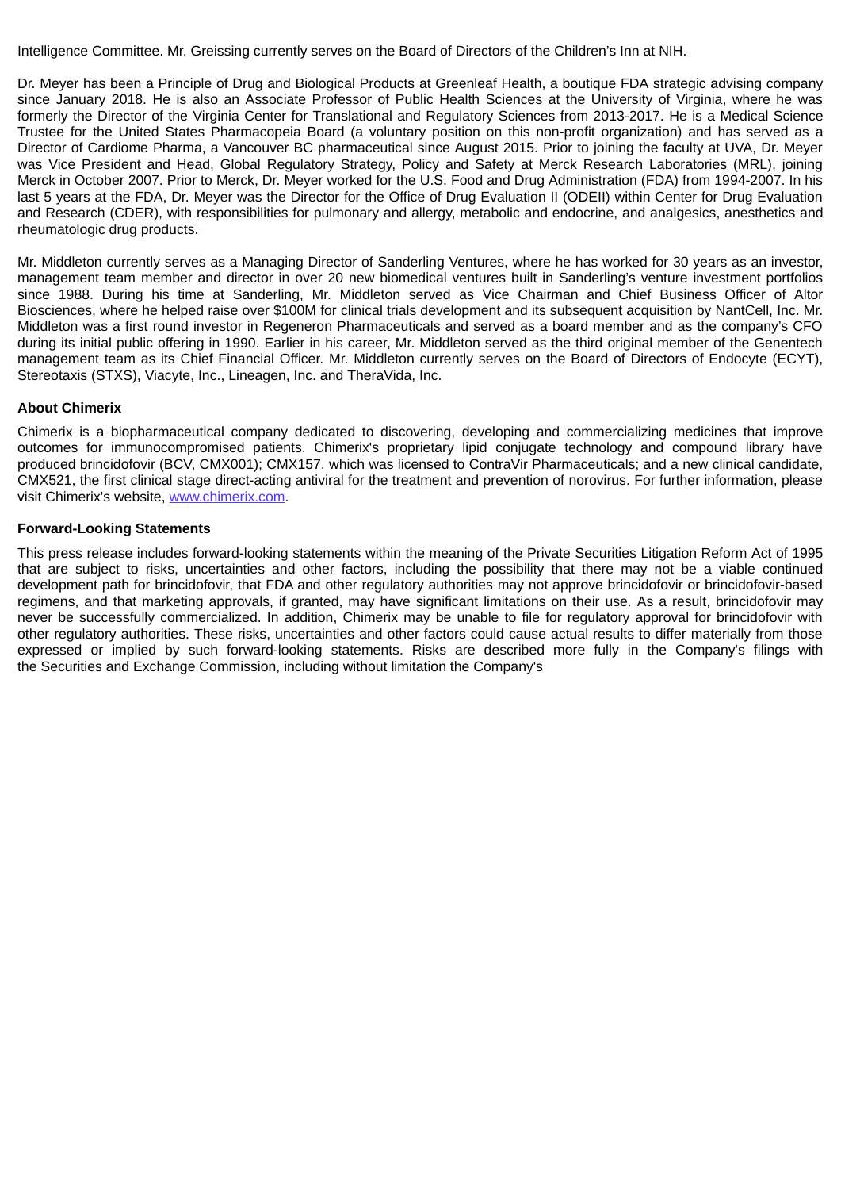Intelligence Committee. Mr. Greissing currently serves on the Board of Directors of the Children's Inn at NIH.

Dr. Meyer has been a Principle of Drug and Biological Products at Greenleaf Health, a boutique FDA strategic advising company since January 2018. He is also an Associate Professor of Public Health Sciences at the University of Virginia, where he was formerly the Director of the Virginia Center for Translational and Regulatory Sciences from 2013-2017. He is a Medical Science Trustee for the United States Pharmacopeia Board (a voluntary position on this non-profit organization) and has served as a Director of Cardiome Pharma, a Vancouver BC pharmaceutical since August 2015. Prior to joining the faculty at UVA, Dr. Meyer was Vice President and Head, Global Regulatory Strategy, Policy and Safety at Merck Research Laboratories (MRL), joining Merck in October 2007. Prior to Merck, Dr. Meyer worked for the U.S. Food and Drug Administration (FDA) from 1994-2007. In his last 5 years at the FDA, Dr. Meyer was the Director for the Office of Drug Evaluation II (ODEII) within Center for Drug Evaluation and Research (CDER), with responsibilities for pulmonary and allergy, metabolic and endocrine, and analgesics, anesthetics and rheumatologic drug products.

Mr. Middleton currently serves as a Managing Director of Sanderling Ventures, where he has worked for 30 years as an investor, management team member and director in over 20 new biomedical ventures built in Sanderling's venture investment portfolios since 1988. During his time at Sanderling, Mr. Middleton served as Vice Chairman and Chief Business Officer of Altor Biosciences, where he helped raise over \$100M for clinical trials development and its subsequent acquisition by NantCell, Inc. Mr. Middleton was a first round investor in Regeneron Pharmaceuticals and served as a board member and as the company's CFO during its initial public offering in 1990. Earlier in his career, Mr. Middleton served as the third original member of the Genentech management team as its Chief Financial Officer. Mr. Middleton currently serves on the Board of Directors of Endocyte (ECYT), Stereotaxis (STXS), Viacyte, Inc., Lineagen, Inc. and TheraVida, Inc.

# **About Chimerix**

Chimerix is a biopharmaceutical company dedicated to discovering, developing and commercializing medicines that improve outcomes for immunocompromised patients. Chimerix's proprietary lipid conjugate technology and compound library have produced brincidofovir (BCV, CMX001); CMX157, which was licensed to ContraVir Pharmaceuticals; and a new clinical candidate, CMX521, the first clinical stage direct-acting antiviral for the treatment and prevention of norovirus. For further information, please visit Chimerix's website, www.chimerix.com.

# **Forward-Looking Statements**

This press release includes forward-looking statements within the meaning of the Private Securities Litigation Reform Act of 1995 that are subject to risks, uncertainties and other factors, including the possibility that there may not be a viable continued development path for brincidofovir, that FDA and other regulatory authorities may not approve brincidofovir or brincidofovir-based regimens, and that marketing approvals, if granted, may have significant limitations on their use. As a result, brincidofovir may never be successfully commercialized. In addition, Chimerix may be unable to file for regulatory approval for brincidofovir with other regulatory authorities. These risks, uncertainties and other factors could cause actual results to differ materially from those expressed or implied by such forward-looking statements. Risks are described more fully in the Company's filings with the Securities and Exchange Commission, including without limitation the Company's